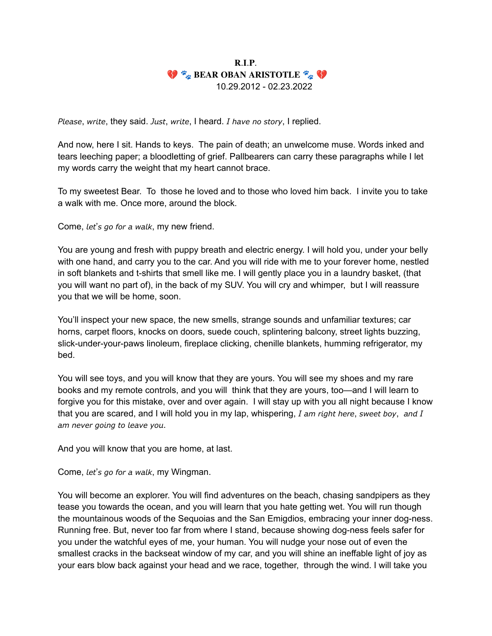## $R.I.P.$ **V EXARGE OBAN ARISTOTLE EXAMPLE** 10.29.2012 - 02.23.2022

Please, write, they said. Just, write, I heard. I have no story, I replied.

And now, here I sit. Hands to keys. The pain of death; an unwelcome muse. Words inked and tears leeching paper; a bloodletting of grief. Pallbearers can carry these paragraphs while I let my words carry the weight that my heart cannot brace.

To my sweetest Bear. To those he loved and to those who loved him back. I invite you to take a walk with me. Once more, around the block.

Come, let's go for a walk, my new friend.

You are young and fresh with puppy breath and electric energy. I will hold you, under your belly with one hand, and carry you to the car. And you will ride with me to your forever home, nestled in soft blankets and t-shirts that smell like me. I will gently place you in a laundry basket, (that you will want no part of), in the back of my SUV. You will cry and whimper, but I will reassure you that we will be home, soon.

You'll inspect your new space, the new smells, strange sounds and unfamiliar textures; car horns, carpet floors, knocks on doors, suede couch, splintering balcony, street lights buzzing, slick-under-your-paws linoleum, fireplace clicking, chenille blankets, humming refrigerator, my bed.

You will see toys, and you will know that they are yours. You will see my shoes and my rare books and my remote controls, and you will think that they are yours, too—and I will learn to forgive you for this mistake, over and over again. I will stay up with you all night because I know that you are scared, and I will hold you in my lap, whispering,  $I$  am right here, sweet boy, and  $I$ am never going to leave you.

And you will know that you are home, at last.

Come, let's go for a walk, my Wingman.

You will become an explorer. You will find adventures on the beach, chasing sandpipers as they tease you towards the ocean, and you will learn that you hate getting wet. You will run though the mountainous woods of the Sequoias and the San Emigdios, embracing your inner dog-ness. Running free. But, never too far from where I stand, because showing dog-ness feels safer for you under the watchful eyes of me, your human. You will nudge your nose out of even the smallest cracks in the backseat window of my car, and you will shine an ineffable light of joy as your ears blow back against your head and we race, together, through the wind. I will take you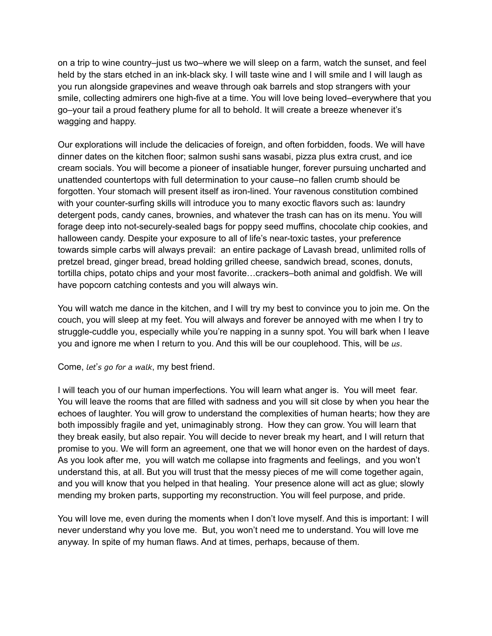on a trip to wine country–just us two–where we will sleep on a farm, watch the sunset, and feel held by the stars etched in an ink-black sky. I will taste wine and I will smile and I will laugh as you run alongside grapevines and weave through oak barrels and stop strangers with your smile, collecting admirers one high-five at a time. You will love being loved–everywhere that you go–your tail a proud feathery plume for all to behold. It will create a breeze whenever it's wagging and happy.

Our explorations will include the delicacies of foreign, and often forbidden, foods. We will have dinner dates on the kitchen floor; salmon sushi sans wasabi, pizza plus extra crust, and ice cream socials. You will become a pioneer of insatiable hunger, forever pursuing uncharted and unattended countertops with full determination to your cause–no fallen crumb should be forgotten. Your stomach will present itself as iron-lined. Your ravenous constitution combined with your counter-surfing skills will introduce you to many exoctic flavors such as: laundry detergent pods, candy canes, brownies, and whatever the trash can has on its menu. You will forage deep into not-securely-sealed bags for poppy seed muffins, chocolate chip cookies, and halloween candy. Despite your exposure to all of life's near-toxic tastes, your preference towards simple carbs will always prevail: an entire package of Lavash bread, unlimited rolls of pretzel bread, ginger bread, bread holding grilled cheese, sandwich bread, scones, donuts, tortilla chips, potato chips and your most favorite…crackers–both animal and goldfish. We will have popcorn catching contests and you will always win.

You will watch me dance in the kitchen, and I will try my best to convince you to join me. On the couch, you will sleep at my feet. You will always and forever be annoyed with me when I try to struggle-cuddle you, especially while you're napping in a sunny spot. You will bark when I leave you and ignore me when I return to you. And this will be our couplehood. This, will be us.

## Come, let's go for a walk, my best friend.

I will teach you of our human imperfections. You will learn what anger is. You will meet fear. You will leave the rooms that are filled with sadness and you will sit close by when you hear the echoes of laughter. You will grow to understand the complexities of human hearts; how they are both impossibly fragile and yet, unimaginably strong. How they can grow. You will learn that they break easily, but also repair. You will decide to never break my heart, and I will return that promise to you. We will form an agreement, one that we will honor even on the hardest of days. As you look after me, you will watch me collapse into fragments and feelings, and you won't understand this, at all. But you will trust that the messy pieces of me will come together again, and you will know that you helped in that healing. Your presence alone will act as glue; slowly mending my broken parts, supporting my reconstruction. You will feel purpose, and pride.

You will love me, even during the moments when I don't love myself. And this is important: I will never understand why you love me. But, you won't need me to understand. You will love me anyway. In spite of my human flaws. And at times, perhaps, because of them.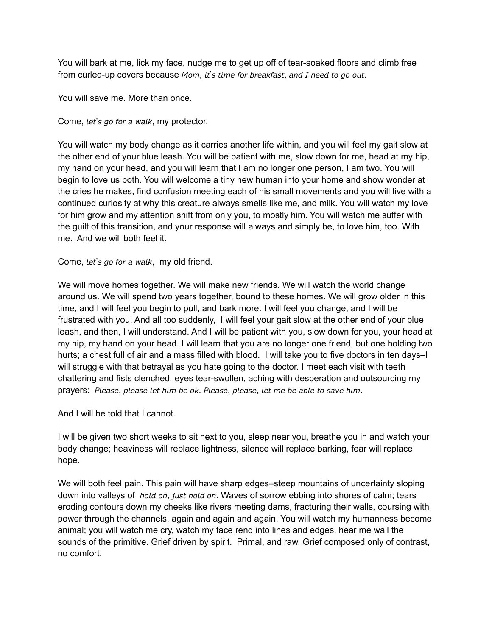You will bark at me, lick my face, nudge me to get up off of tear-soaked floors and climb free from curled-up covers because Mom, it's time for breakfast, and I need to go out.

You will save me. More than once.

Come, let's go for a walk, my protector.

You will watch my body change as it carries another life within, and you will feel my gait slow at the other end of your blue leash. You will be patient with me, slow down for me, head at my hip, my hand on your head, and you will learn that I am no longer one person, I am two. You will begin to love us both. You will welcome a tiny new human into your home and show wonder at the cries he makes, find confusion meeting each of his small movements and you will live with a continued curiosity at why this creature always smells like me, and milk. You will watch my love for him grow and my attention shift from only you, to mostly him. You will watch me suffer with the guilt of this transition, and your response will always and simply be, to love him, too. With me. And we will both feel it.

Come, let's go for a walk, my old friend.

We will move homes together. We will make new friends. We will watch the world change around us. We will spend two years together, bound to these homes. We will grow older in this time, and I will feel you begin to pull, and bark more. I will feel you change, and I will be frustrated with you. And all too suddenly, I will feel your gait slow at the other end of your blue leash, and then, I will understand. And I will be patient with you, slow down for you, your head at my hip, my hand on your head. I will learn that you are no longer one friend, but one holding two hurts; a chest full of air and a mass filled with blood. I will take you to five doctors in ten days–I will struggle with that betrayal as you hate going to the doctor. I meet each visit with teeth chattering and fists clenched, eyes tear-swollen, aching with desperation and outsourcing my prayers: Please, please let him be ok. Please, please, let me be able to save him.

And I will be told that I cannot.

I will be given two short weeks to sit next to you, sleep near you, breathe you in and watch your body change; heaviness will replace lightness, silence will replace barking, fear will replace hope.

We will both feel pain. This pain will have sharp edges–steep mountains of uncertainty sloping down into valleys of *hold on, just hold on.* Waves of sorrow ebbing into shores of calm; tears eroding contours down my cheeks like rivers meeting dams, fracturing their walls, coursing with power through the channels, again and again and again. You will watch my humanness become animal; you will watch me cry, watch my face rend into lines and edges, hear me wail the sounds of the primitive. Grief driven by spirit. Primal, and raw. Grief composed only of contrast, no comfort.